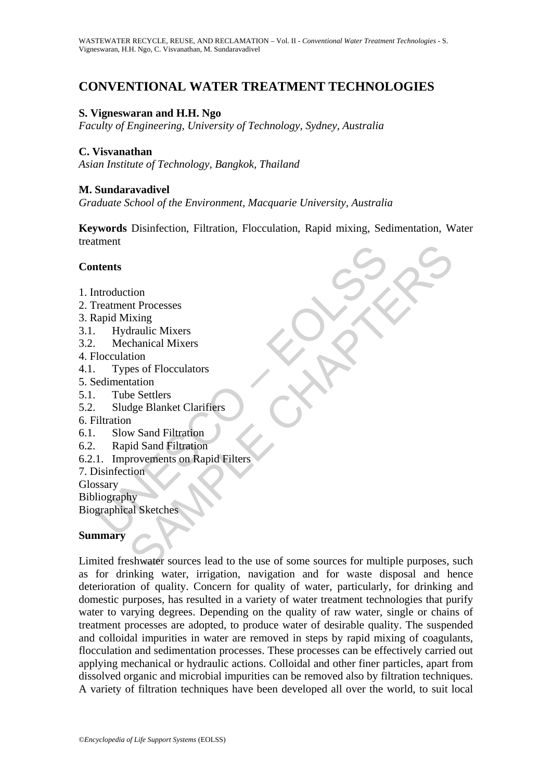# **CONVENTIONAL WATER TREATMENT TECHNOLOGIES**

#### **S. Vigneswaran and H.H. Ngo**

*Faculty of Engineering, University of Technology, Sydney, Australia* 

#### **C. Visvanathan**

*Asian Institute of Technology, Bangkok, Thailand* 

#### **M. Sundaravadivel**

*Graduate School of the Environment, Macquarie University, Australia* 

**Keywords** Disinfection, Filtration, Flocculation, Rapid mixing, Sedimentation, Water treatment

#### **Contents**

- 1. Introduction
- 2. Treatment Processes
- 3. Rapid Mixing
- 3.1. Hydraulic Mixers
- 3.2. Mechanical Mixers
- 4. Flocculation
- 4.1. Types of Flocculators
- 5. Sedimentation
- 5.1. Tube Settlers
- 5.2. Sludge Blanket Clarifiers
- 6. Filtration
- 6.1. Slow Sand Filtration
- 6.2. Rapid Sand Filtration
- The Metal Strategy<br>
Introduction<br>
Interdement Processes<br>
apid Mixing<br>
Hydraulic Mixers<br>
Mechanical Mixers<br>
Mechanical Mixers<br>
Interdementation<br>
Types of Flocculators<br>
Cludge Blanket Clarifiers<br>
Sludge Blanket Clarifiers<br>
I 6.2.1. Improvements on Rapid Filters
- 7. Disinfection
- Glossary
- Bibliography

Biographical Sketches

#### **Summary**

tion<br>
the Processes<br>
lixing<br>
traulic Mixers<br>
lixing<br>
traulic Mixers<br>
the Schalter Mixers<br>
the Securitors<br>
of Flocculators<br>
as Schaler Clarifiers<br>
and Filtration<br>
w Sand Filtration<br>
wisa Sample Filters<br>
tion<br>
hy<br>
al Sketche Limited freshwater sources lead to the use of some sources for multiple purposes, such as for drinking water, irrigation, navigation and for waste disposal and hence deterioration of quality. Concern for quality of water, particularly, for drinking and domestic purposes, has resulted in a variety of water treatment technologies that purify water to varying degrees. Depending on the quality of raw water, single or chains of treatment processes are adopted, to produce water of desirable quality. The suspended and colloidal impurities in water are removed in steps by rapid mixing of coagulants, flocculation and sedimentation processes. These processes can be effectively carried out applying mechanical or hydraulic actions. Colloidal and other finer particles, apart from dissolved organic and microbial impurities can be removed also by filtration techniques. A variety of filtration techniques have been developed all over the world, to suit local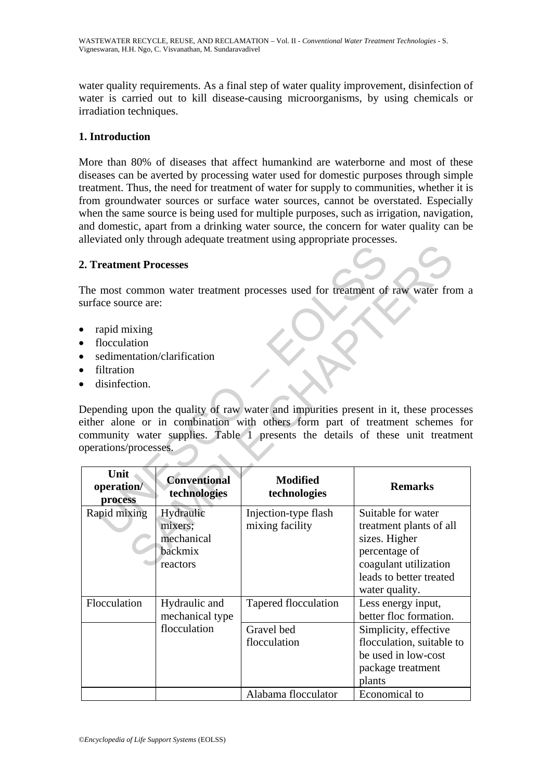water quality requirements. As a final step of water quality improvement, disinfection of water is carried out to kill disease-causing microorganisms, by using chemicals or irradiation techniques.

#### **1. Introduction**

More than 80% of diseases that affect humankind are waterborne and most of these diseases can be averted by processing water used for domestic purposes through simple treatment. Thus, the need for treatment of water for supply to communities, whether it is from groundwater sources or surface water sources, cannot be overstated. Especially when the same source is being used for multiple purposes, such as irrigation, navigation, and domestic, apart from a drinking water source, the concern for water quality can be alleviated only through adequate treatment using appropriate processes.

#### **2. Treatment Processes**

- rapid mixing
- flocculation
- sedimentation/clarification
- filtration
- disinfection.

| 2. Treatment Processes                                                                                                                                |                                                           |                                         |                                                                                                                                                                                                                                                         |
|-------------------------------------------------------------------------------------------------------------------------------------------------------|-----------------------------------------------------------|-----------------------------------------|---------------------------------------------------------------------------------------------------------------------------------------------------------------------------------------------------------------------------------------------------------|
| surface source are:                                                                                                                                   |                                                           |                                         | The most common water treatment processes used for treatment of raw water from a                                                                                                                                                                        |
| rapid mixing<br>$\bullet$<br>flocculation<br>$\bullet$<br>$\bullet$<br>filtration<br>$\bullet$<br>disinfection.<br>$\bullet$<br>operations/processes. | sedimentation/clarification                               |                                         | Depending upon the quality of raw water and impurities present in it, these processes<br>either alone or in combination with others form part of treatment schemes for<br>community water supplies. Table 1 presents the details of these unit treatmen |
| Unit<br>operation/<br>process                                                                                                                         | <b>Conventional</b><br>technologies                       | <b>Modified</b><br>technologies         | <b>Remarks</b>                                                                                                                                                                                                                                          |
| Rapid mixing                                                                                                                                          | Hydraulic<br>mixers;<br>mechanical<br>backmix<br>reactors | Injection-type flash<br>mixing facility | Suitable for water<br>treatment plants of all<br>sizes. Higher<br>percentage of<br>coagulant utilization<br>leads to better treated<br>water quality.                                                                                                   |
| Flocculation                                                                                                                                          |                                                           |                                         |                                                                                                                                                                                                                                                         |
|                                                                                                                                                       | Hydraulic and                                             | Tapered flocculation                    | Less energy input,<br>better floc formation.                                                                                                                                                                                                            |
|                                                                                                                                                       | mechanical type<br>flocculation                           | Gravel bed<br>flocculation              | Simplicity, effective<br>flocculation, suitable to<br>be used in low-cost<br>package treatment<br>plants                                                                                                                                                |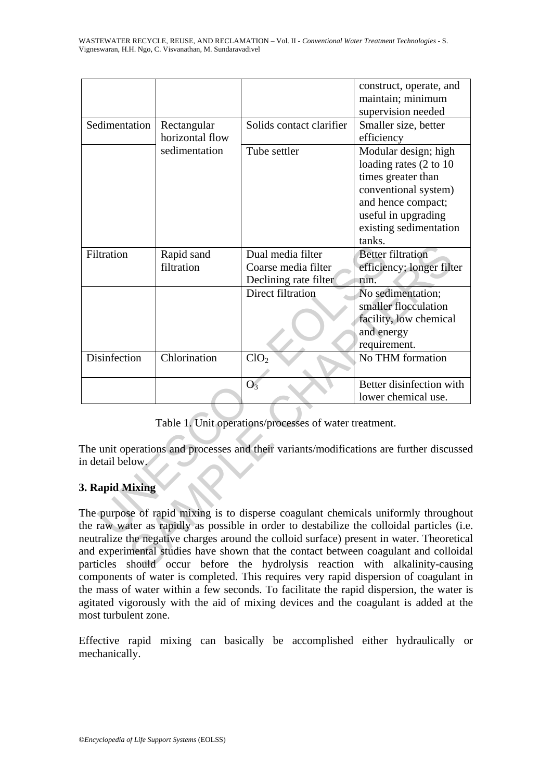|               |                                                 |                               |                                                        | construct, operate, and                                                                    |
|---------------|-------------------------------------------------|-------------------------------|--------------------------------------------------------|--------------------------------------------------------------------------------------------|
|               |                                                 |                               |                                                        | maintain; minimum                                                                          |
|               |                                                 |                               |                                                        | supervision needed                                                                         |
| Sedimentation | Rectangular<br>horizontal flow<br>sedimentation | Solids contact clarifier      | Smaller size, better                                   |                                                                                            |
|               |                                                 |                               | efficiency                                             |                                                                                            |
|               |                                                 | Tube settler                  | Modular design; high                                   |                                                                                            |
|               |                                                 |                               | loading rates (2 to 10                                 |                                                                                            |
|               |                                                 |                               | times greater than                                     |                                                                                            |
|               |                                                 |                               |                                                        | conventional system)                                                                       |
|               |                                                 |                               |                                                        | and hence compact;                                                                         |
|               |                                                 |                               |                                                        | useful in upgrading                                                                        |
|               |                                                 |                               |                                                        | existing sedimentation                                                                     |
|               |                                                 |                               |                                                        | tanks.                                                                                     |
|               | Filtration                                      | Rapid sand                    | Dual media filter                                      | <b>Better filtration</b>                                                                   |
|               |                                                 | filtration                    | Coarse media filter                                    | efficiency; longer filter                                                                  |
|               |                                                 |                               | Declining rate filter                                  | run.                                                                                       |
|               |                                                 |                               | Direct filtration                                      | No sedimentation;                                                                          |
|               |                                                 |                               |                                                        | smaller flocculation                                                                       |
|               |                                                 |                               |                                                        | facility, low chemical                                                                     |
|               |                                                 |                               |                                                        | and energy                                                                                 |
|               |                                                 |                               |                                                        | requirement.                                                                               |
|               | Disinfection                                    | Chlorination                  | ClO <sub>2</sub>                                       | No THM formation                                                                           |
|               |                                                 |                               |                                                        |                                                                                            |
|               |                                                 |                               | O <sub>3</sub>                                         | Better disinfection with                                                                   |
|               |                                                 |                               |                                                        | lower chemical use.                                                                        |
|               |                                                 |                               |                                                        |                                                                                            |
|               |                                                 |                               | Table 1. Unit operations/processes of water treatment. |                                                                                            |
|               |                                                 |                               |                                                        |                                                                                            |
|               |                                                 |                               |                                                        | The unit operations and processes and their variants/modifications are further discussed   |
|               | in detail below.                                |                               |                                                        |                                                                                            |
|               |                                                 |                               |                                                        |                                                                                            |
|               | 3. Rapid Mixing                                 |                               |                                                        |                                                                                            |
|               |                                                 |                               |                                                        |                                                                                            |
|               |                                                 |                               |                                                        | The purpose of rapid mixing is to disperse coagulant chemicals uniformly throughou         |
|               |                                                 |                               |                                                        | the raw water as rapidly as possible in order to destabilize the colloidal particles (i.e. |
|               |                                                 |                               |                                                        | neutralize the negative charges around the colloid surface) present in water. Theoretica   |
|               |                                                 |                               |                                                        | and experimental studies have shown that the contact between coagulant and colloida        |
|               |                                                 | particles should occur before |                                                        | the hydrolysis reaction with alkalinity-causing                                            |

## **3. Rapid Mixing**

The purpose of rapid mixing is to disperse coagulant chemicals uniformly throughout the raw water as rapidly as possible in order to destabilize the colloidal particles (i.e. neutralize the negative charges around the colloid surface) present in water. Theoretical and experimental studies have shown that the contact between coagulant and colloidal particles should occur before the hydrolysis reaction with alkalinity-causing components of water is completed. This requires very rapid dispersion of coagulant in the mass of water within a few seconds. To facilitate the rapid dispersion, the water is agitated vigorously with the aid of mixing devices and the coagulant is added at the most turbulent zone.

Effective rapid mixing can basically be accomplished either hydraulically or mechanically.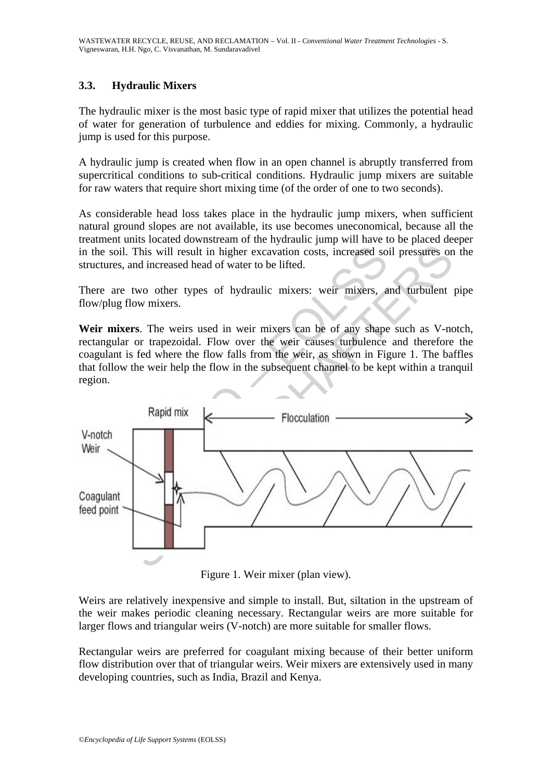### **3.3. Hydraulic Mixers**

The hydraulic mixer is the most basic type of rapid mixer that utilizes the potential head of water for generation of turbulence and eddies for mixing. Commonly, a hydraulic jump is used for this purpose.

A hydraulic jump is created when flow in an open channel is abruptly transferred from supercritical conditions to sub-critical conditions. Hydraulic jump mixers are suitable for raw waters that require short mixing time (of the order of one to two seconds).

As considerable head loss takes place in the hydraulic jump mixers, when sufficient natural ground slopes are not available, its use becomes uneconomical, because all the treatment units located downstream of the hydraulic jump will have to be placed deeper in the soil. This will result in higher excavation costs, increased soil pressures on the structures, and increased head of water to be lifted.

There are two other types of hydraulic mixers: weir mixers, and turbulent pipe flow/plug flow mixers.

**Weir mixers**. The weirs used in weir mixers can be of any shape such as V-notch, rectangular or trapezoidal. Flow over the weir causes turbulence and therefore the coagulant is fed where the flow falls from the weir, as shown in Figure 1. The baffles that follow the weir help the flow in the subsequent channel to be kept within a tranquil region.



Figure 1. Weir mixer (plan view).

Weirs are relatively inexpensive and simple to install. But, siltation in the upstream of the weir makes periodic cleaning necessary. Rectangular weirs are more suitable for larger flows and triangular weirs (V-notch) are more suitable for smaller flows.

Rectangular weirs are preferred for coagulant mixing because of their better uniform flow distribution over that of triangular weirs. Weir mixers are extensively used in many developing countries, such as India, Brazil and Kenya.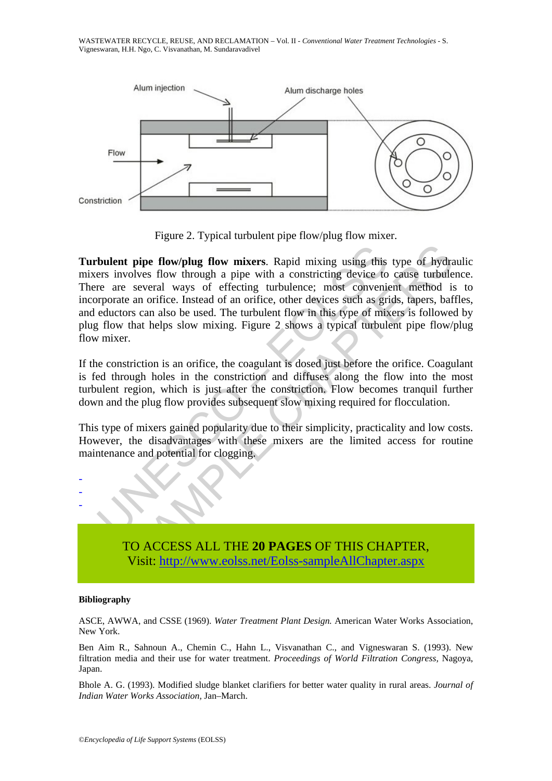WASTEWATER RECYCLE, REUSE, AND RECLAMATION – Vol. II - *Conventional Water Treatment Technologies* - S. Vigneswaran, H.H. Ngo, C. Visvanathan, M. Sundaravadivel



Figure 2. Typical turbulent pipe flow/plug flow mixer.

bulent pipe flow/plug flow mixers. Rapid mixing using this<br>ers involves flow through a pipe with a constricting device to<br>re are several ways of effecting turbulence; most convenience<br>are are several ways of effecting turb **pipe flow/plug flow mixers.** Rapid mixing using this type of hydrolves flow through a pipe with a constricting device to cause turbule several ways of effecting turbulence; most convenient method is an orifice. Instead o **Turbulent pipe flow/plug flow mixers**. Rapid mixing using this type of hydraulic mixers involves flow through a pipe with a constricting device to cause turbulence. There are several ways of effecting turbulence; most convenient method is to incorporate an orifice. Instead of an orifice, other devices such as grids, tapers, baffles, and eductors can also be used. The turbulent flow in this type of mixers is followed by plug flow that helps slow mixing. Figure 2 shows a typical turbulent pipe flow/plug flow mixer.

If the constriction is an orifice, the coagulant is dosed just before the orifice. Coagulant is fed through holes in the constriction and diffuses along the flow into the most turbulent region, which is just after the constriction. Flow becomes tranquil further down and the plug flow provides subsequent slow mixing required for flocculation.

This type of mixers gained popularity due to their simplicity, practicality and low costs. However, the disadvantages with these mixers are the limited access for routine maintenance and potential for clogging.



TO ACCESS ALL THE **20 PAGES** OF THIS CHAPTER, Visit: http://www.eolss.net/Eolss-sampleAllChapter.aspx

#### **Bibliography**

ASCE, AWWA, and CSSE (1969). *Water Treatment Plant Design.* American Water Works Association, New York.

Ben Aim R., Sahnoun A., Chemin C., Hahn L., Visvanathan C., and Vigneswaran S. (1993). New filtration media and their use for water treatment. *Proceedings of World Filtration Congress,* Nagoya, Japan.

Bhole A. G. (1993). Modified sludge blanket clarifiers for better water quality in rural areas. *Journal of Indian Water Works Association,* Jan–March.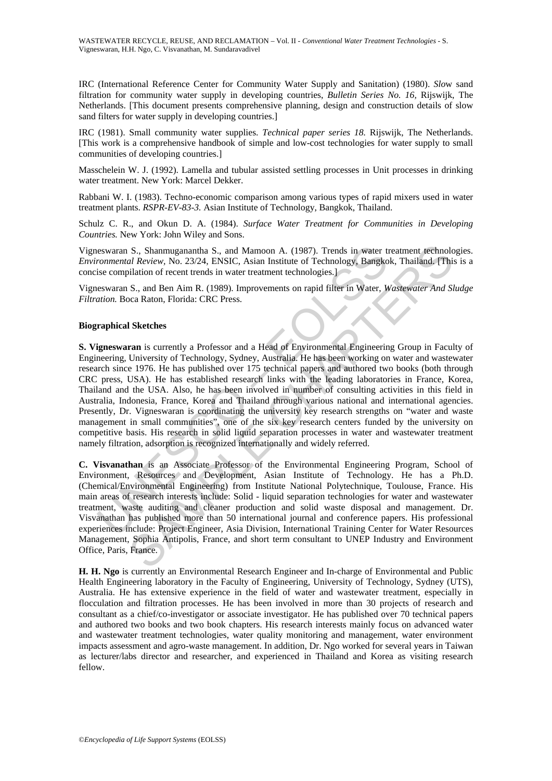IRC (International Reference Center for Community Water Supply and Sanitation) (1980). *Slo*w sand filtration for community water supply in developing countries, *Bulletin Series No. 16,* Rijswijk, The Netherlands. [This document presents comprehensive planning, design and construction details of slow sand filters for water supply in developing countries.]

IRC (1981). Small community water supplies. *Technical paper series 18.* Rijswijk, The Netherlands. [This work is a comprehensive handbook of simple and low-cost technologies for water supply to small communities of developing countries.]

Masschelein W. J. (1992). Lamella and tubular assisted settling processes in Unit processes in drinking water treatment. New York: Marcel Dekker.

Rabbani W. I. (1983). Techno-economic comparison among various types of rapid mixers used in water treatment plants. *RSPR-EV-83-3.* Asian Institute of Technology, Bangkok, Thailand.

Schulz C. R., and Okun D. A. (1984). *Surface Water Treatment for Communities in Developing Countries.* New York: John Wiley and Sons.

Vigneswaran S., Shanmuganantha S., and Mamoon A. (1987). Trends in water treatment technologies. *Environmental Review,* No. 23/24, ENSIC, Asian Institute of Technology, Bangkok, Thailand. [This is a concise compilation of recent trends in water treatment technologies.]

Vigneswaran S., and Ben Aim R. (1989). Improvements on rapid filter in Water, *Wastewater And Sludge Filtration.* Boca Raton, Florida: CRC Press.

#### **Biographical Sketches**

eswaran S., Shanmuganantha S., and Mamoon A. (1987). Trends in water trommental Review, No. 23/24, ENSIC, Asian Institute of Technology, Bangkotase compliation of recent tends in water treatment technologies.]<br>
is compliat S., Shanmuganantha S., and Mamoon A. (1987). Trends in water treatment technolonelal Review, No. 23:24; ENSIC, Asian Institute of Technology, Bangkok, Thailand (This<br>ilation of recent trends in water treatment technologies **S. Vigneswaran** is currently a Professor and a Head of Environmental Engineering Group in Faculty of Engineering, University of Technology, Sydney, Australia. He has been working on water and wastewater research since 1976. He has published over 175 technical papers and authored two books (both through CRC press, USA). He has established research links with the leading laboratories in France, Korea, Thailand and the USA. Also, he has been involved in number of consulting activities in this field in Australia, Indonesia, France, Korea and Thailand through various national and international agencies. Presently, Dr. Vigneswaran is coordinating the university key research strengths on "water and waste management in small communities", one of the six key research centers funded by the university on competitive basis. His research in solid liquid separation processes in water and wastewater treatment namely filtration, adsorption is recognized internationally and widely referred.

**C. Visvanathan** is an Associate Professor of the Environmental Engineering Program, School of Environment, Resources and Development, Asian Institute of Technology. He has a Ph.D. (Chemical/Environmental Engineering) from Institute National Polytechnique, Toulouse, France. His main areas of research interests include: Solid - liquid separation technologies for water and wastewater treatment, waste auditing and cleaner production and solid waste disposal and management. Dr. Visvanathan has published more than 50 international journal and conference papers. His professional experiences include: Project Engineer, Asia Division, International Training Center for Water Resources Management, Sophia Antipolis, France, and short term consultant to UNEP Industry and Environment Office, Paris, France.

**H. H. Ngo** is currently an Environmental Research Engineer and In-charge of Environmental and Public Health Engineering laboratory in the Faculty of Engineering, University of Technology, Sydney (UTS), Australia. He has extensive experience in the field of water and wastewater treatment, especially in flocculation and filtration processes. He has been involved in more than 30 projects of research and consultant as a chief/co-investigator or associate investigator. He has published over 70 technical papers and authored two books and two book chapters. His research interests mainly focus on advanced water and wastewater treatment technologies, water quality monitoring and management, water environment impacts assessment and agro-waste management. In addition, Dr. Ngo worked for several years in Taiwan as lecturer/labs director and researcher, and experienced in Thailand and Korea as visiting research fellow.